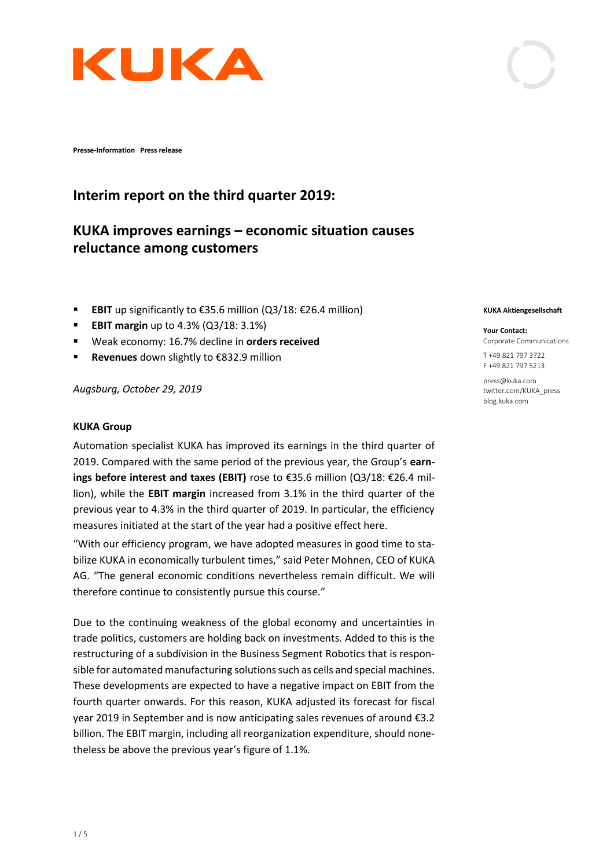

**Presse-Information Press release** 

# **KUKA improves earnings – economic situation causes reluctance among customers**

- **EBIT** up significantly to €35.6 million (Q3/18: €26.4 million)
- **EBIT margin** up to 4.3% (Q3/18: 3.1%)
- Weak economy: 16.7% decline in **orders received**

**Interim report on the third quarter 2019:**

▪ **Revenues** down slightly to €832.9 million

*Augsburg, October 29, 2019* 

### **KUKA Group**

Automation specialist KUKA has improved its earnings in the third quarter of 2019. Compared with the same period of the previous year, the Group's **earnings before interest and taxes (EBIT)** rose to €35.6 million (Q3/18: €26.4 million), while the **EBIT margin** increased from 3.1% in the third quarter of the previous year to 4.3% in the third quarter of 2019. In particular, the efficiency measures initiated at the start of the year had a positive effect here.

"With our efficiency program, we have adopted measures in good time to stabilize KUKA in economically turbulent times," said Peter Mohnen, CEO of KUKA AG. "The general economic conditions nevertheless remain difficult. We will therefore continue to consistently pursue this course."

Due to the continuing weakness of the global economy and uncertainties in trade politics, customers are holding back on investments. Added to this is the restructuring of a subdivision in the Business Segment Robotics that is responsible for automated manufacturing solutions such as cells and special machines. These developments are expected to have a negative impact on EBIT from the fourth quarter onwards. For this reason, KUKA adjusted its forecast for fiscal year 2019 in September and is now anticipating sales revenues of around €3.2 billion. The EBIT margin, including all reorganization expenditure, should nonetheless be above the previous year's figure of 1.1%.

#### **KUKA Aktiengesellschaft**

### **Your Contact:**

Corporate Communications

T +49 821 797 3722 F +49 821 797 5213

press@kuka.com twitter.com/KUKA\_press blog.kuka.com



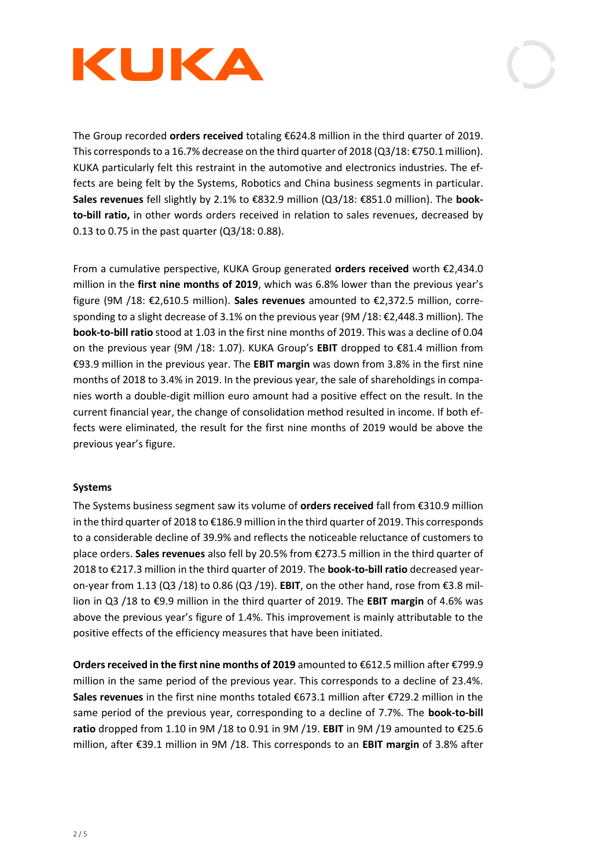



The Group recorded **orders received** totaling €624.8 million in the third quarter of 2019. This corresponds to a 16.7% decrease on the third quarter of 2018 (Q3/18: €750.1 million). KUKA particularly felt this restraint in the automotive and electronics industries. The effects are being felt by the Systems, Robotics and China business segments in particular. **Sales revenues** fell slightly by 2.1% to €832.9 million (Q3/18: €851.0 million). The **bookto-bill ratio,** in other words orders received in relation to sales revenues, decreased by 0.13 to 0.75 in the past quarter (Q3/18: 0.88).

From a cumulative perspective, KUKA Group generated **orders received** worth €2,434.0 million in the **first nine months of 2019**, which was 6.8% lower than the previous year's figure (9M /18: €2,610.5 million). **Sales revenues** amounted to €2,372.5 million, corresponding to a slight decrease of 3.1% on the previous year (9M /18: €2,448.3 million). The **book-to-bill ratio** stood at 1.03 in the first nine months of 2019. This was a decline of 0.04 on the previous year (9M /18: 1.07). KUKA Group's **EBIT** dropped to €81.4 million from €93.9 million in the previous year. The **EBIT margin** was down from 3.8% in the first nine months of 2018 to 3.4% in 2019. In the previous year, the sale of shareholdings in companies worth a double-digit million euro amount had a positive effect on the result. In the current financial year, the change of consolidation method resulted in income. If both effects were eliminated, the result for the first nine months of 2019 would be above the previous year's figure.

## **Systems**

The Systems business segment saw its volume of **orders received** fall from €310.9 million in the third quarter of 2018 to €186.9 million in the third quarter of 2019. This corresponds to a considerable decline of 39.9% and reflects the noticeable reluctance of customers to place orders. **Sales revenues** also fell by 20.5% from €273.5 million in the third quarter of 2018 to €217.3 million in the third quarter of 2019. The **book-to-bill ratio** decreased yearon-year from 1.13 (Q3 /18) to 0.86 (Q3 /19). **EBIT**, on the other hand, rose from €3.8 million in Q3 /18 to €9.9 million in the third quarter of 2019. The **EBIT margin** of 4.6% was above the previous year's figure of 1.4%. This improvement is mainly attributable to the positive effects of the efficiency measures that have been initiated.

**Orders received in the first nine months of 2019** amounted to €612.5 million after €799.9 million in the same period of the previous year. This corresponds to a decline of 23.4%. **Sales revenues** in the first nine months totaled €673.1 million after €729.2 million in the same period of the previous year, corresponding to a decline of 7.7%. The **book-to-bill ratio** dropped from 1.10 in 9M /18 to 0.91 in 9M /19. **EBIT** in 9M /19 amounted to €25.6 million, after €39.1 million in 9M /18. This corresponds to an **EBIT margin** of 3.8% after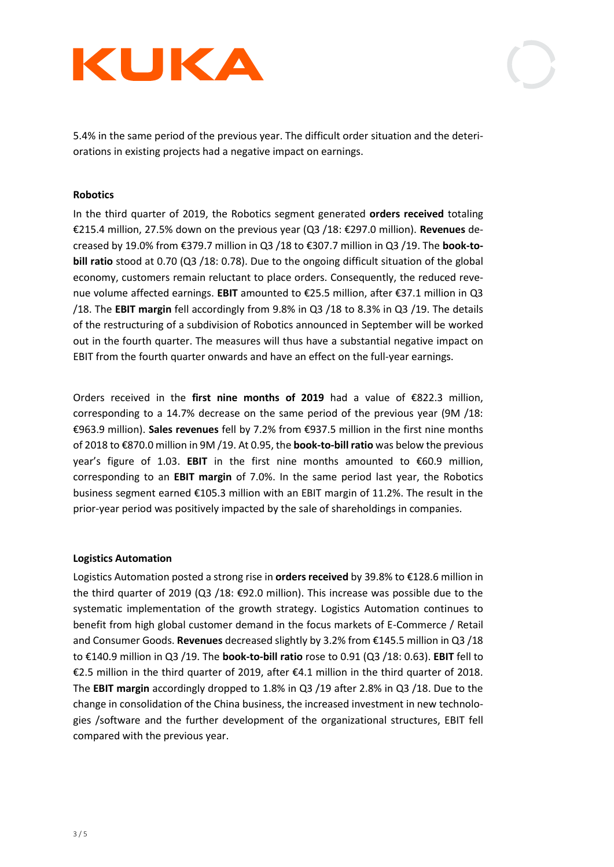



5.4% in the same period of the previous year. The difficult order situation and the deteriorations in existing projects had a negative impact on earnings.

### **Robotics**

In the third quarter of 2019, the Robotics segment generated **orders received** totaling €215.4 million, 27.5% down on the previous year (Q3 /18: €297.0 million). **Revenues** decreased by 19.0% from €379.7 million in Q3 /18 to €307.7 million in Q3 /19. The **book-tobill ratio** stood at 0.70 (Q3 /18: 0.78). Due to the ongoing difficult situation of the global economy, customers remain reluctant to place orders. Consequently, the reduced revenue volume affected earnings. **EBIT** amounted to €25.5 million, after €37.1 million in Q3 /18. The **EBIT margin** fell accordingly from 9.8% in Q3 /18 to 8.3% in Q3 /19. The details of the restructuring of a subdivision of Robotics announced in September will be worked out in the fourth quarter. The measures will thus have a substantial negative impact on EBIT from the fourth quarter onwards and have an effect on the full-year earnings.

Orders received in the **first nine months of 2019** had a value of €822.3 million, corresponding to a 14.7% decrease on the same period of the previous year (9M /18: €963.9 million). **Sales revenues** fell by 7.2% from €937.5 million in the first nine months of 2018 to €870.0 million in 9M /19. At 0.95, the **book-to-bill ratio** was below the previous year's figure of 1.03. **EBIT** in the first nine months amounted to €60.9 million, corresponding to an **EBIT margin** of 7.0%. In the same period last year, the Robotics business segment earned €105.3 million with an EBIT margin of 11.2%. The result in the prior-year period was positively impacted by the sale of shareholdings in companies.

#### **Logistics Automation**

Logistics Automation posted a strong rise in **orders received** by 39.8% to €128.6 million in the third quarter of 2019 (Q3 /18:  $\epsilon$ 92.0 million). This increase was possible due to the systematic implementation of the growth strategy. Logistics Automation continues to benefit from high global customer demand in the focus markets of E-Commerce / Retail and Consumer Goods. **Revenues** decreased slightly by 3.2% from €145.5 million in Q3 /18 to €140.9 million in Q3 /19. The **book-to-bill ratio** rose to 0.91 (Q3 /18: 0.63). **EBIT** fell to €2.5 million in the third quarter of 2019, after €4.1 million in the third quarter of 2018. The **EBIT margin** accordingly dropped to 1.8% in Q3 /19 after 2.8% in Q3 /18. Due to the change in consolidation of the China business, the increased investment in new technologies /software and the further development of the organizational structures, EBIT fell compared with the previous year.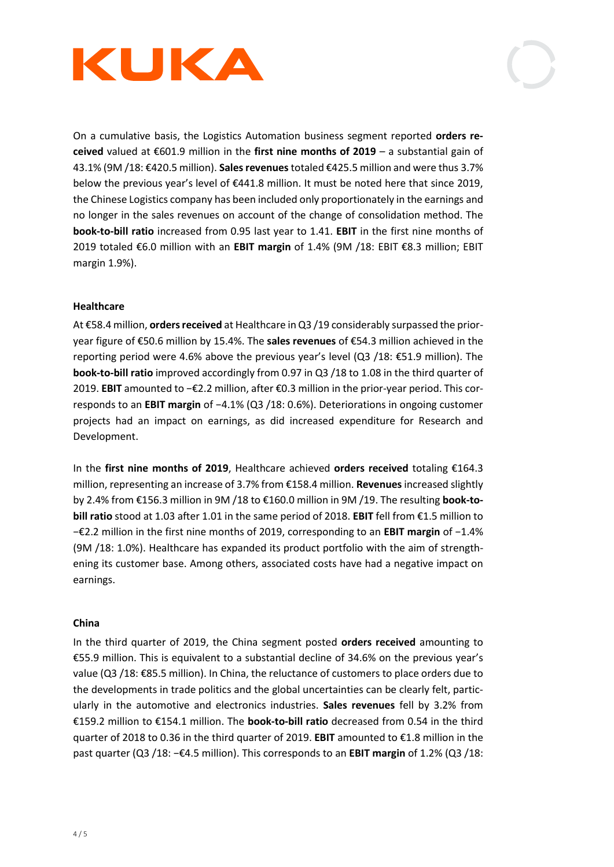



On a cumulative basis, the Logistics Automation business segment reported **orders received** valued at €601.9 million in the **first nine months of 2019** – a substantial gain of 43.1% (9M /18: €420.5 million). **Sales revenues** totaled €425.5 million and were thus 3.7% below the previous year's level of €441.8 million. It must be noted here that since 2019, the Chinese Logistics company has been included only proportionately in the earnings and no longer in the sales revenues on account of the change of consolidation method. The **book-to-bill ratio** increased from 0.95 last year to 1.41. **EBIT** in the first nine months of 2019 totaled €6.0 million with an **EBIT margin** of 1.4% (9M /18: EBIT €8.3 million; EBIT margin 1.9%).

### **Healthcare**

At €58.4 million, **orders received** at Healthcare in Q3 /19 considerably surpassed the prioryear figure of €50.6 million by 15.4%. The **sales revenues** of €54.3 million achieved in the reporting period were 4.6% above the previous year's level (Q3 /18: €51.9 million). The **book-to-bill ratio** improved accordingly from 0.97 in Q3 /18 to 1.08 in the third quarter of 2019. **EBIT** amounted to −€2.2 million, after €0.3 million in the prior-year period. This corresponds to an **EBIT margin** of −4.1% (Q3 /18: 0.6%). Deteriorations in ongoing customer projects had an impact on earnings, as did increased expenditure for Research and Development.

In the **first nine months of 2019**, Healthcare achieved **orders received** totaling €164.3 million, representing an increase of 3.7% from €158.4 million. **Revenues** increased slightly by 2.4% from €156.3 million in 9M /18 to €160.0 million in 9M /19. The resulting **book-tobill ratio** stood at 1.03 after 1.01 in the same period of 2018. **EBIT** fell from €1.5 million to −€2.2 million in the first nine months of 2019, corresponding to an **EBIT margin** of −1.4% (9M /18: 1.0%). Healthcare has expanded its product portfolio with the aim of strengthening its customer base. Among others, associated costs have had a negative impact on earnings.

#### **China**

In the third quarter of 2019, the China segment posted **orders received** amounting to €55.9 million. This is equivalent to a substantial decline of 34.6% on the previous year's value (Q3 /18: €85.5 million). In China, the reluctance of customers to place orders due to the developments in trade politics and the global uncertainties can be clearly felt, particularly in the automotive and electronics industries. **Sales revenues** fell by 3.2% from €159.2 million to €154.1 million. The **book-to-bill ratio** decreased from 0.54 in the third quarter of 2018 to 0.36 in the third quarter of 2019. **EBIT** amounted to €1.8 million in the past quarter (Q3 /18: −€4.5 million). This corresponds to an **EBIT margin** of 1.2% (Q3 /18: